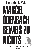# Kunsthalle Wien VIA REEL BEWEIS Z HHIS Museumsquartier #Odenbach 5/2 – 30/4 2017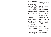# Marcel Odenbach Beweis zu nichts

*Beweis zu nichts* (Proof of Nothing) is the title of a poem by Ingeborg Bachmann, which addresses the ongoing victim-persecutor structure in post-war society. Bertolt Brecht underscored his own view on the topic by slightly paraphrasing not only this, but also other poems by Ingeborg Bachman, whom he greatly admired. His intervention is less subtle than it may appear. In Bachmann's version, the last line reads: "Wein! Aber winke uns nicht (Cry! But do not wave to us.)". Brecht changed it as follows: "Weine, nur winke uns nicht (Cry, just do not wave to us)".

In 1952, Bertolt Brecht and Fritz Cremer won the competition to design a memorial for the former concentration camp at Buchenwald. The Nationale Mahnund Gedenkstätte Buchenwald (National Buchenwald Memorial) was inaugurated in September 1958. The lengthy debate over an appropriate design for both the site and the memorial was not so much historically or aesthetically driven, but rather politically motivated: the aim was to show how a better, more socialist Germany had arisen from conflict and sacrificial death. Cremer's design shows the hallmarks of Socialist Realism. Inspired by Auguste Rodin's group of figures *The Burghers of Calais*, a group of men portrayed as equals fight an invisible enemy.

In his film about this memorial, Marcel Odenbach approaches not only the visualisation, but also to the reinterpretation and ideologization of remembrance and history.

In this context, Ingeborg Bachmann's poem represents "corrections", which might seem insignificant but ultimately lead to a change of perspective.

An earlier film by Odenbach, *Im Kreise drehen*/*Turning in Circles*, is also dedicated to a memorial site, the former concentration camp Majdanek in the Polish city of Lublin. Here too the focus is on the materialisation of collective memory and the commemoration of victims across generations. These are some of the central motifs in the oeuvre of one of Germany's most celebrated video artists. Odenbach's works are profound explorations of the dilemma of dealing with the past. They not only reflect the lasting effects of National Socialism, but approach the issue from a universal perspective. Likewise, the artist examines the apparent "otherness" of foreign cultures, the legacy of colonialism, and political and economic systems of representation. Reflections on the familiar and the foreign, his own biography and its place in historical contexts are further important motifs in his work, which is defined by both an aesthetic and political approach.

*In stillen Teichen lauern Krokodile/ In Still Waters Crocodiles Lurk*, a video installation about the genocide that occurred in Rwanda in 1994, incorporates historical documentary material and excerpts from the UNO's film archive, but no imagery of the massacre itself. In an attempt to understand this country, faced not only with the task of convicting murderers but also reconciling its people, Odenbach presents everyday scenes that reflect Rwanda's beauty.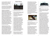The video installation refrains from passing judgement or offering an explanation. Instead the highly evocative images compel viewers to form their own opinions.

In recent years, Odenbach has not only produced video, film, and installations, but also numerous collages. Based on the montage principle used in film, they combine micro and macro views.

Clippings from newspapers and magazines are glued together, repeatedly photocopied, and coloured until they merge in a big picture, like pieces of a puzzle. While the surface presents a clearly discernible motif, the detailed view shows countless images that make up the whole. At first, the evocative overall impression becomes apparent. On closer inspection, it breaks up into successive fragments that seem to be subordinate to the big picture. These elements are also deeply saturated with pictorial and textual information. In their fragmentary structure, Odenbach's collages resemble reversible figures which only show one aspect while concealing others. Instead of representing things as they are, they display reality in overlapping layers and reveal the historical dimension of the present at close range.

At first sight, the almost 15-metre collage *Durchblicke* (Clear Views), one of Odenbach's largest paper works, shows a dense tropical jungle. Seen up close, this panorama is composed of numerous photographs which reflect Africa's colonial history. As it eludes immediate perception, this level requires close, intensive scrutiny, and thus a systematic examination of the sphere between the directly visible and the still effective, but often supressed shadows of the past underneath the surface.

# Video Works



Marcel Odenbach, *Beweis zu nichts* (Proof of Nothing), photography of film set, 2016, © Marcel Odenbach and BILDRECHT GmbH, 2017, photo: Marcel Odenbach, Courtesy of the artist

*Beweis zu nichts* (Proof of Nothing), 2016 Two-channel video installation, colour, sound, approx. 15 min Courtesy of the artist and Galerie Gisela Capitain, Cologne. Produced for the eponymous exhibition at Kunsthalle Wien.

Proceeding from *Im Kreise drehen*/ *Turning in Circles*, a video work Odenbach dedicated to the Majdanek memorial, *Beweis zu nichts* (Proof of Nothing) focuses on the Buchenwald memorial. How did the former GDR, as a declared antifascist Germany, deal with the legacy of the Holocaust? In 1951, the sculptor Fritz Cremer and Bertolt Brecht won a competition. Their design was completed in 1958. The bronze sculpture represents a group of male figures inspired by Auguste Rodin's *Burghers of Calais* (1884–1886), which reflects the ideology of this former state. The memorial itself is embedded in a site which almost seamlessly connects with the architectural language and symbolism of the Third Reich.

*Beweis zu nichts* (Proof of Nothing) approaches the group of sculptures in circular movements; the film resembles an endless tracking shot,

without beginning or end. During its initial description of the material, the camera explores the figures and specifies each detail with archaeological precision. As it moves on to unearth the deeper levels, the tracking shot becomes a journey through time. Layers of documents are exposed which cover the group of figures like a coat of paint while infusing it with meaning at the same time. The circling camera bores deeper and deeper into the memorial, thus exposing its interior. Finally, the circle reaches completion: the site has been filled with meaning and the architecture has become part the landscape.



Marcel Odenbach, *Deutschstunde* (German Lesson), video still, 2006, © Marcel Odenbach and BILDRECHT GmbH, 2017, Courtesy of Galerie Gisela Capitain, Cologne

*Deutschstunde* (German Lesson), 2006 Video, colour, sound, 7 min. Courtesy of Galerie Gisela Capitain, Cologne and Anton Kern Gallery, New York

Schoolchildren read out sentences from autobiographies about Jewish life during the time of National Socialism. These scenes are interspersed with shots of a spinning top on a table. Not only the readers' varied intonation, but also the gravity with which they carry out their assignment show that the younger generation is also committed to remembering and is very much aware of the importance of this task.



Marcel Odenbach, *Im Kreise drehen/Turning in Circles*, video still, 2009, © Marcel Odenbach and BILDRECHT GmbH, 2017, Courtesy of Galerie Gisela Capitain, Cologne

#### *Im Kreise drehen*/*Turning in Circles*, 2009

Blu-Ray DVD, colour, sound, 15:50 min. Courtesy of Galerie Gisela Capitain, Cologne and Anton Kern Gallery, New York

*Im Kreise drehen*/*Turning in Circles* is a filmic exploration of the mausoleum in the Polish concentration camp Majdanek near Lublin and its function for collective memory. At the beginning, we see two young men in white shirts rolling in the grass. This scene is followed by a slow and gradual examination of the monumental memorial designed by Wiktor Tołkin in 1969. Inspired by Socialist and Futurist design, it holds the ashes of murdered people like a giant offering bowl. The camera stays close to the concrete surface as it surveys the structural and material composition of the mausoleum. A sequence of texts provides the viewers with information on what they are seeing. Subsequently, the images of the mausoleum's walls become superimposed with historical photographs of Jews from the Warsaw Ghetto. As the camera probes its way from the exterior into the interior, the edifice's dimensions gradually become apparent. At the end of the film, the two young men visit the mausoleum as tourists and try to prevail against the cold atmosphere of the concrete. The structure in its entirety is only shown during the closing credits.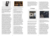

Marcel Odenbach, *In stillen Teichen lauern Krokodile/In Still Waters Crocodiles Lurk*, video still, 2002/2004, © Marcel Odenbach and BILDRECHT GmbH, 2017, Courtesy of Galerie Gisela Capitain, Cologne

*In stillen Teichen lauern Krokodile/In Still Waters Crocodiles Lurk*, 2002/2004 Two-channel video installation, b/w and colour, sound, 31:30 min. Courtesy of Galerie Gisela Capitain, Cologne and Anton Kern Gallery, New York

*In stillen Teichen lauern Krokodile/ In Still Waters Crocodiles Lurk* deals with the Rwandan genocide, which occurred between April and June 1994 and produced almost only Tutsi victims. In this half-hour video projection in two parts, Odenbach uses documentary material and films from the UNO's archive to fathom the effects of this genocide in a country which, years after the crime, is still faced with the task of convicting the murderers while conciliating its people at the same time. Refraining from showing the atrocities, the seven chapters instead present seemingly everyday scenes defined by eminent quiet and languidness: farmers in the banana fields, prisoners in a brickyard, cows, or rain falling on an idyllic landscape of rolling hills. Only the soundtrack repeats the rousing propaganda from the radio which incited the Hutu to lynch their former neighbours. The video installation itself neither passes judgement, nor does it offer a historical explanation. The strongly evocative images encourage viewers to act as observers who are called upon to form their own opinions.



Marcel Odenbach, *Im Schiffbruch nicht schwimmen können* (Foundering, and You Can't Swim), video still, 2011, © Marcel Odenbach and BILDRECHT GmbH, 2017, Courtesy of Galerie Gisela Capitain, Cologne

*Im Schiffbruch nicht schwimmen können* (Foundering, and You Can't Swim), 2011 HD video, colour, sound, 8:15 min. Courtesy of Galerie Gisela Capitain, Cologne, Anton Kern Gallery,

New York and Galerie Stampa, Basel

Three men of different ages from Sub-Saharan Africa, immigrants living in France, are looking at a painting in the Louvre: *The Raft of Medusa* painted by Théodore Géricault in 1819. As one of the best-known history paintings, this monumental work represents a piece of French colonial history and its failure. In 1816, the Medusa was dispatched to take over the Senegal colony from the British as it had been adjudged to France. The frigate's shipwreck transformed the crew sailing under the banner of equality, liberty, and fraternity into cannibals fighting for their survival.

For his video work, Odenbach conducted long interviews with the three Africans about their flight, their motivation, and their lives. They talked about homesickness, their fears, and feeling foreign in their own country. Odenbach used only a few passages from these long conversations, solely in the shape of written statements. The men sit in front of the picture in silence. Sitting at the coast, one dreams of faraway

places. But what happens when these dreams from afar come home? The sea seems endless and peaceful, but also full of perils. "Hope and home - for me as a German this also always means salvation and flight." (Odenbach)

# **Collages**



Marcel Odenbach, *Die gute Stube* (The Parlour), 2011, © Marcel Odenbach and BILDRECHT GmbH, 2017, photo: Vesko Gösel, Cologne, Courtesy of the artist and Anton Kern Gallery, New York

*Die gute Stube* (The Parlour), 2011 Collage, ink on paper, 170 x 140 cm Sammlung Philara, Dusseldorf

*Die gute Stube* (The Parlour) shows the interior of the Berghof, Adolf Hitler's residence on the Obersalzberg. Although the room is designed to provide a panoramic view of the mountains, the drawn curtains on the left direct the viewers' attention to the interior and its furnishings. In combination with the partly visible window on the right, this leads to an overlapping of outside and inside. While our eyes rest on

the curtains obscuring the vista, we are also deprived of the view of the Obersalzberg due to the angle chosen by the artist. This partially blocked vision is like a metaphor for the dictator's perception, whose presence is palpable despite his absence. The bourgeois sitting room, which seems completely at odds with the horrors of the Nazi era, enhances the menacing atmosphere in this picture.



Marcel Odenbach, *Durchblicke* (Clear Views), detail, 2007, © Marcel Odenbach and BILDRECHT GmbH, 2017, photo: David Ertl, Cologne, Courtesy of Anton Kern Gallery, New York

*Durchblicke* (Clear Views), 2007 Collage, ink on paper, 142.5 x 1463 cm Courtesy of the artist and Anton Kern Gallery, New York

At first sight, the almost 15-metre long panoramic collage *Durchblicke* (Clear Views) shows an impenetrable jungle landscape made up of proliferous vegetation. To "see through" this thicket, as the title suggests, is simply impossible. Inspected at close range, however, the metaphorical meaning of the title becomes apparent in the shape of unexpected insights into Africa's complex colonial history. The story of exploitation and suppression, which are only gradually being processed and recognised as an equal part of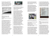European history, is presented in numerous photographs. From a distance, we see a deserted, exotic landscape. Only once we approach it, the picture reveals the other side, where the fascination of the exotic gives way to colonial crimes.



Marcel Odenbach, *Meldung* (Notification), 2016, © Marcel Odenbach and BILDRECHT GmbH, 2017, photo: Vesko Gösel, Cologne, Courtesy of the artist

*Meldung* (Notification), 2016 Collage, ink on paper, approx. 150 x 190 cm Courtesy of Galerie Crone, Berlin and Vienna

The collage *Meldung* (Notification) was inspired by a file note on Polish workers who were forced to work in Wolfen, and apparently failed to wear the badge that identified them as Polish forced labourers. The company in question was the Agfa Filmfabrik Wolfen (Agfa Film Factory Wolfen). Since the early 20<sup>th</sup> century, Agfa had been the leading producer of photochemical products. During the Nazi era, the enterprise acquired a predominant position in the Third Reich and supplied the needs of the military, state and NS party organisations at the outbreak of the war. A growing number of forced labourers, many of them from Poland, were put to work in the Wolfen Film Factory.



Marcel Odenbach, Heimat 3 (AdVB) (Home 3 (AdVB)), 2016, © Marcel Odenbach and BILDRECHT GmbH, 2017, photo: Simon Vogel, Cologne, Courtesy of Galerie Gisela Capitain, Cologne

*Heimat 3 (AdVB)* (Home 3 (AdVB)), 2016 Collage, ink on paper, 150 x 350 cm Courtesy of the Galerie Gisela Capitain, Cologne

*Heimat 3 (AdVB)* (Home 3 AdVB) shows the furnishings of the German chancellor's bedroom in the former government bunker to the south of Bonn, the erstwhile German capital. Amidst great secrecy, the bunker was constructed inside the tunnel of a never completed railway line between 1960 and 1972. It was supposed to serve the German Federal Government as a shelter and as underground headquarters in case of war. During the final phase of the Second World War, various arms manufacturers moved into the tunnel. On the outside, they had established a satellite camp to accommodate forced labourers working at the Buchenwald Concentration Camp. The train tunnels themselves were mainly used to build ground equipment and vehicles for V-2 rockets.

Designed during the Cold War era, the government bunker encompassed 897 offices, 936 bedrooms, and other facilities. A supply of drinking water, a power generator, an air filter, provisions, and an expansive infrastructure were supposed to enable a thirty-day stay without contact to the outside world, so that the Federal Republic of Germany could continue to be governed, even in case of an escalating nuclear war.

The bunker was first used during a NATO command post exercise in 1966. It was last used in March 1989, also for an exercise.

In 1997, the Federal Government decided to give up the government bunker as they could not find a civilian use for the facility. As a symbol of the Cold War, the surviving part of the bunker of just under 200 metres was extended and turned into a museum, the Dokumentationsstätte Regierungsbunker (Government Bunker Documentary Centre).



Marcel Odenbach, *Jeder Schuss ein Treffer* (Every Shot a Hit), 2009/2010, © Marcel Odenbach and BILDRECHT GmbH, 2017, photo: Vesko Gösel, Cologne, Courtesy of Gisela Capitain, Cologne

*Jeder Schuss ein Treffer* (Every Shot a Hit), 2009/2010 Collage, ink on Paper, two parts, 150 x 195.3 cm each Private collection, courtesy of Galerie Gisela Capitain, Cologne

Over the last two decades, Africa has become a central topic in Odenbach's work. *Jeder Schuss ein Treffer* (Every Shot a Hit), a collage in two parts, features a zebra that was obviously killed during a safari. The other panel shows the inside of a canoe with a fishing rod and plastic bags from a duty-free shop. Africa's reputed exoticism is reflected in game-hunting expeditions undertaken by Europeans who enjoy shooting impalas, zebras, or gnus. The word safari derives from the Swahili language and refers to any kind of journey. Once the word found its way into the former colonial masters' languages, its meaning changed to journeying with the intention of killing.



Marcel Odenbach, *kurz und bündig* (short and precise), 2016, © Marcel Odenbach and BILDRECHT GmbH, 2017, photo: Vesko Gösel, Cologne, Courtesy of Gisela Capitain, Cologne

*kurz und bündig* (short and precise), 2016

Collage, ink on paper, 190 x 150 cm Courtesy of Galerie Gisela Capitain, Cologne

Bertolt Brecht greatly admired the poems by Ingeborg Bachmann. Yet – or perhaps: because of this – he has remarked on a few, in order to make them even clearer in his sense. In his copy of the volume *Die gestundete Zeit* (Time Deferred) from 1953, nine of the 24 poems have handwritten comments: some lines are underlined in red, numbers in the margins suggest the switching of lines, and in one case, a line was added. Even if the changes are subtle, the tiny shifts say a lot about the difference between these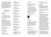two poets: Bachmann's poetry with its antithetical evolvement and frequently coded metaphors for personal and human fate is juxtaposed with Brecht's poetry with its decidedly causative approach and intentionally reduced possibility of interpretation for the sake of a more unambiguous message. One of the "revised" poems forms the starting point of this collage.

# Programme

All tours are free with admission!

**Curator's Tour** Thu 23/2, 6 pm

Curator Vanessa Joan Müller, leads a tour through the exhibition and will discuss topics approached in the video and paper works by Marcel Odenbach.

#### **Sunday Tours**

Every Sunday at 3 pm, our art educators take visitors on a tour through the exhibition and provide insight into Marcel Odenbach's extensive work. The topics range from the reflection of the familiar and the unknown to coming to terms with the past and the principle of montage in the artists' collages and film works.

Sun 5/2, 3 pm *Ideologies of Remembrance*  with Martin Pfitscher

Sun 12/2, 3 pm *The Banality of Evil* with Martin Pfitscher

Sun 19/2, 3 pm *Consequences of Seeing* with Wolfgang Brunner

Sun 26/2, 3 pm *Good Parlour. Still Ponds* with Martin Pfitscher

Sun 5/3, 3 pm *Ideologies of Remembrance* with Michael Simku

Sun 12/3, 3 pm *The Banality of Evil* with Wolfgang Brunner

Sun 19/3, 3 pm *Consequences of Seeing* with Wolfgang Brunner

Sun 26/3, 3 pm *Good Parlour. Still Ponds* with Michael Simku

Sun 2/4, 3 pm *Ideologies of Remembrance* with Daniela Fasching

Sun 9/4, 3 pm *The Banality of Evil* with Daniela Fasching

Sun 16/4, 3 pm *Consequences of Seeing* with Wolfgang Brunner

Sun 23/4, 3 pm *Good Parlour. Still Ponds*  with Michael Simku

Sun 30/4, 3 pm *Ideologies of Remembrance* with Daniela Fasching

**Combined Tours** Sun 19/2, 19/3 11 am–1 pm

Kunsthalle Wien and Jewish Museum Vienna, Judenplatz Meeting point: box-office Kunsthalle Wien

Sun 2/4, 30/4 11 am–1 pm

Kunsthalle Wien and Jewish Museum Vienna, Dorotheergasse Meeting point: box-office Kunsthalle Wien

On the basis of works selected from the exhibition *Beweis zu nichts* at Kunsthalle Wien and the permanent collection at the Jewish Museum Vienna, this tour reflects on the function and materialisation of collective memory and the possibilities and importance of remembrance and history.

In cooperation with the Jewish Museum Vienna



**Seminars** *Dialogical Seminar* 

Two public seminar sessions provide a work in progress insight into artistic, performative, and interventional methods of engaging with the appropriation of history that will be developed in the context of the exhibition.

Mon 20/3, 3–7 pm *Composite (H)Storytelling* 

Mon 27/3, 3–7 pm *Performing the Body of History*

A Collaboration with the annual project *Dialogical Interventions* of the University of Applied Arts Vienna, direction: Martin Krenn, department KKP (Art and Communication Practices)

For information and registration please contact: dramaturgie@kunsthallewien.at

#### **Film Evening**

Wed 5/4, 7 pm Film evening at the mumok cinema Marcel Odenbach, *Ein Bild vom Bild machen* (Making a Picture of the Picture), 2016, HD video, 15 min.

Marcel Odenbach / Lukas Marxt, *Fishing is not done on Tuesdays*, 2017, HD video, 15 min

Followed by a conversation with Marcel Odenbach

*Ein Bild vom Bild machen* (Making a Picture of the Picture) was made in celebration of the  $40<sup>th</sup>$  anniversary of the Ludwig Museum in Cologne. The film's protagonist is the chocolate manufacturer and art collector Peter Ludwig: Odenbach superimposes shots of the Ludwigs' villa with documentary film material in which Peter Ludwig talks about his preferences and ambitions in the field of cultural politics. Also candidly discussed are comments on his vanity, his tendency to be easily offended, and his need for recognition as a collector. The couple's garage contains a portrait the sculptor Arno Breker made of the Ludwigs in the 1980s. A few scenes later, the camera briefly lingers over a bronze sculpture depicting a spear carrier in front of an eagle in the garden of their estate in Aachen: yet another work by the National Socialists' favourite sculptor.

The film *Fishing is not done on Tuesdays*, which Odenbach made together with Lukas Marxt, focuses on a modern concrete house on the coast of Ghana. The circling bird's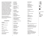eye view of treetops becomes the first element of a visual grid which defines the whole film. Visual axes generated by architectonic lines dissect the surroundings and imbue them with a certain rhythm. Everyday scenes are zoomed into this abstract ornament: fishermen can be seen on their boats or during their morning prayers before work. Fishing is not done on Tuesdays, and on Sundays the loudspeaker system is used to spread the Christian message. The rhythms of the village become superimposed with the noise from rotors, the sound of music and the sea. The fort-like house on stilts, however, is at the centre of this setting. From within its gridded interior the outside world presents itself as a landscape.

Both the screening and the subsequent conversation with the artist came about in cooperation with the mumok cinema.

### Colophon

**Exhibition** Kunsthalle Wien GmbH

Director: Nicolaus Schafhausen

CFO: Sigrid Mittersteiner

Curator: Vanessa Joan Müller

Exhibition Management: Hektor Peljak

Construction Management: Johannes Diboky Michael Niemetz

Technicians: Beni Ardolic Frank Herberg Baari Jasarov Mathias Kada

External Technicians: Harald Adrian Hermann Amon Dietmar Hochhauser Alfred Lenz

Art Handling: Scott Hayes Johann Schoiswohl Andreas Schweger

Marketing: Dalia Ahmed David Avazzadeh Katharina Baumgartner Adina Hasler

Press and Communication: Katharina Murschetz Stefanie Obermeir Lena Stefflitsch (Intern)

Fundraising and Sponsoring: Silvia Keller

Event Production: Gerhard Prügger

Dramaturgy: Andrea Hubin Vanessa Joan Müller Eleanor Taylor Aneta Zahradnik

Education: Isabella Drozda Martin Walkner

Educators: Wolfgang Brunner Daniela Fasching Ursula Leitgeb

#### Martin Pfitscher Michael Simku

Finances: Mira Gasparevic Natalie Nachbargauer Visitor Service: Kevin Manders Christina Zowack

#### **Exhibition Booklet**

Publisher: Kunsthalle Wien GmbH

Text: Vanessa Joan Müller

Editing: Isabella Drozda Vanessa Joan Müller Martin Walkner

Translation: Katherine Lewald

Design: Boy Vereecken Antoine Begon

Print: REMA LITTERA PRINT Ges.m.b.H.

© Kunsthalle Wien, 2017 Kunsthalle Wien GmbH is Vienna's exhibition space for international contemporary art and discourse.

For more information please visit:

kunsthallewien.at blog.kunsthallewien.at facebook.com/Kunsthalle Wien instagram.com/Kunsthalle Wien twitter.com/Kunsthalle Wien #Odenbach

**xk**<br>Jüdisches<br>Museum<br>Wien<br>Ionthergane

**WIENERY** 

+፱አዎ

**ASLAURA** 

mumok

illy

DER STANDARD



**monopol** 

 $\sin$ pcard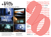

# The Projection of Art



Für: Kunsthalle Wien, Tate Modern, Ars Electronica Linz, Brucknerhaus Linz, MuseumsQuartier Wien, Kunsthaus Bregenz, Swarovski, Zumtobel …

14 15 +43 (0) 664 15 34 917 **www.tonbild.at** office@tonbild.at

Festival des österreichischen Films'17 Festival des österreichischen Films'16 **Felimini des Elisabeth Startes (Handberg Graz**, 28. März<br>**Graz, 28. März** Festival des österreichischen Films'14 diagonale.at  $\bm l$ hen Films'13  $\bm k$ hen Films'12 schen Films'11 Festivul die Multimin biesten Films'10 Festival des österreichischen Films'09 **Festi** Fe*rtium Indersterr*en Film III **Schen** hischen Festival des österreichischen Filmstehen Filmstehen Filmstehen Filmstehen Filmstehen Finanzial der Eine Finanzi  $Feichisch$ e *freichisch* Festival des österreichischen Films'01 **Festival** Festival des WIIII Entertainment Francisco #Diagonale17 **Explorale17** #Diagonale17 **#Diagonale17** #Diagonale17 #FestivalofAustrianFilm —2.April 2017 Diagonale Festival des österreichischen Films'17